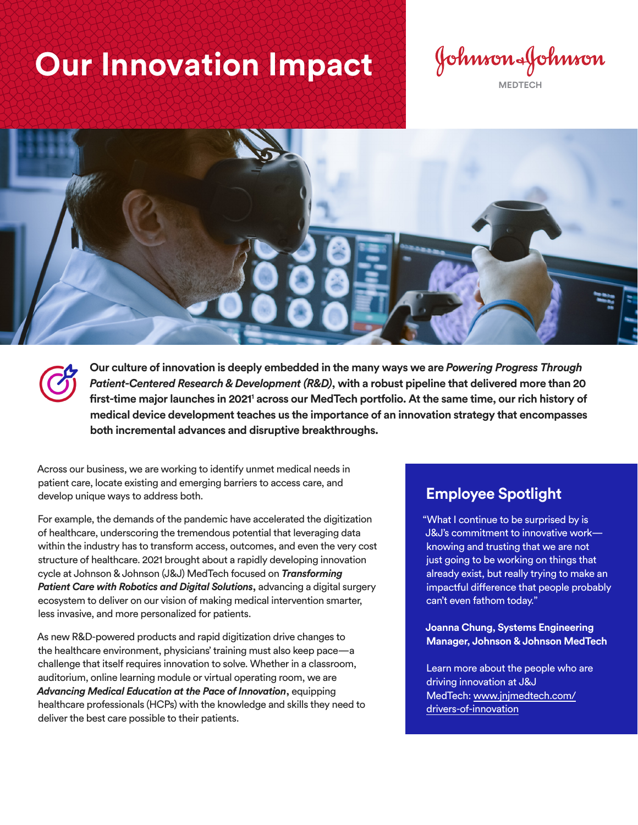## **Our Innovation Impact**

Johnson&Johnson **MEDTECH**



**Our culture of innovation is deeply embedded in the many ways we are** *Powering Progress Through Patient-Centered Research & Development (R&D)***, with a robust pipeline that delivered more than 20 first-time major launches in 20211 across our MedTech portfolio. At the same time, our rich history of medical device development teaches us the importance of an innovation strategy that encompasses both incremental advances and disruptive breakthroughs.**

Across our business, we are working to identify unmet medical needs in patient care, locate existing and emerging barriers to access care, and develop unique ways to address both.

For example, the demands of the pandemic have accelerated the digitization of healthcare, underscoring the tremendous potential that leveraging data within the industry has to transform access, outcomes, and even the very cost structure of healthcare. 2021 brought about a rapidly developing innovation cycle at Johnson & Johnson (J&J) MedTech focused on *Transforming Patient Care with Robotics and Digital Solutions***,** advancing a digital surgery ecosystem to deliver on our vision of making medical intervention smarter, less invasive, and more personalized for patients.

As new R&D-powered products and rapid digitization drive changes to the healthcare environment, physicians' training must also keep pace—a challenge that itself requires innovation to solve. Whether in a classroom, auditorium, online learning module or virtual operating room, we are *Advancing Medical Education at the Pace of Innovation***,** equipping healthcare professionals (HCPs) with the knowledge and skills they need to deliver the best care possible to their patients.

## **Employee Spotlight**

"What I continue to be surprised by is J&J's commitment to innovative work knowing and trusting that we are not just going to be working on things that already exist, but really trying to make an impactful difference that people probably can't even fathom today."

**Joanna Chung, Systems Engineering Manager, Johnson & Johnson MedTech**

Learn more about the people who are driving innovation at J&J MedTech: [www.jnjmedtech.com/](https://www.jnjmedtech.com/en-US/drivers-of-innovation) [drivers-of-innovation](https://www.jnjmedtech.com/en-US/drivers-of-innovation)